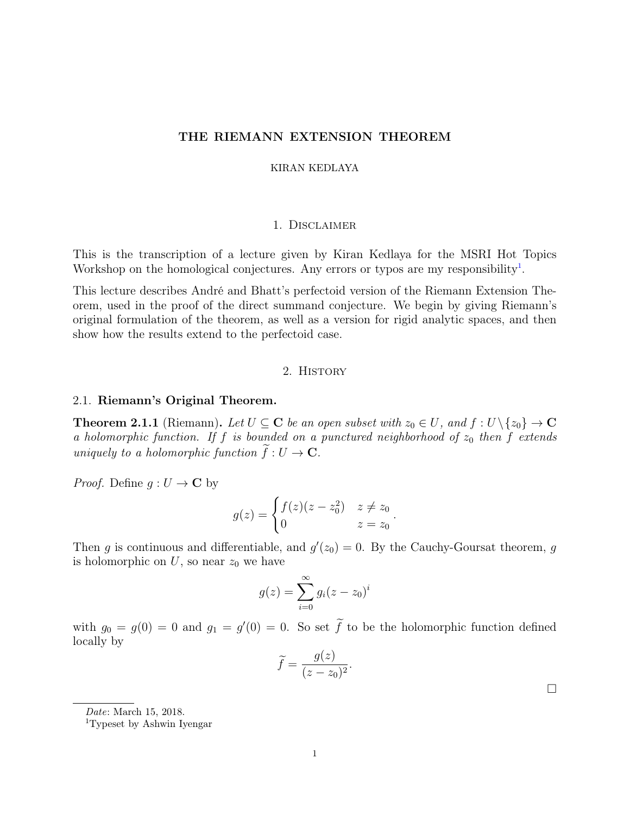# THE RIEMANN EXTENSION THEOREM

### KIRAN KEDLAYA

## 1. Disclaimer

This is the transcription of a lecture given by Kiran Kedlaya for the MSRI Hot Topics Workshop on the homological conjectures. Any errors or typos are my responsibility<sup>1</sup>.

This lecture describes André and Bhatt's perfectoid version of the Riemann Extension Theorem, used in the proof of the direct summand conjecture. We begin by giving Riemann's original formulation of the theorem, as well as a version for rigid analytic spaces, and then show how the results extend to the perfectoid case.

### 2. History

## 2.1. Riemann's Original Theorem.

**Theorem 2.1.1** (Riemann). Let  $U \subseteq \mathbb{C}$  be an open subset with  $z_0 \in U$ , and  $f : U \setminus \{z_0\} \to \mathbb{C}$ *a holomorphic function. If f is bounded on a punctured neighborhood of*  $z_0$  *then f extends uniquely to a holomorphic function*  $f: U \to \mathbf{C}$ .

*Proof.* Define  $g: U \to \mathbb{C}$  by

$$
g(z) = \begin{cases} f(z)(z - z_0^2) & z \neq z_0 \\ 0 & z = z_0 \end{cases}.
$$

Then *g* is continuous and differentiable, and  $g'(z_0) = 0$ . By the Cauchy-Goursat theorem, *g* is holomorphic on  $U$ , so near  $z_0$  we have

$$
g(z) = \sum_{i=0}^{\infty} g_i (z - z_0)^i
$$

with  $g_0 = g(0) = 0$  and  $g_1 = g'(0) = 0$ . So set *f* to be the holomorphic function defined locally by

$$
\widetilde{f} = \frac{g(z)}{(z - z_0)^2}.
$$

 $\Box$ 

*Date*: March 15, 2018.

<sup>1</sup>Typeset by Ashwin Iyengar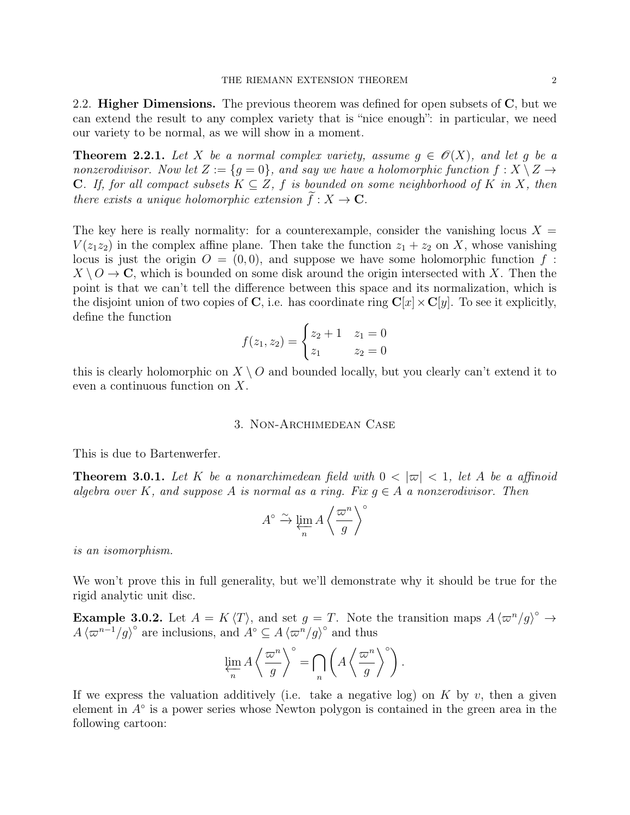2.2. **Higher Dimensions.** The previous theorem was defined for open subsets of  $\mathbf{C}$ , but we can extend the result to any complex variety that is "nice enough": in particular, we need our variety to be normal, as we will show in a moment.

**Theorem 2.2.1.** Let X be a normal complex variety, assume  $g \in \mathcal{O}(X)$ , and let g be a *nonzerodivisor.* Now let  $Z := \{q = 0\}$ , and say we have a holomorphic function  $f: X \setminus Z \rightarrow$ **C**. If, for all compact subsets  $K \subseteq Z$ ,  $f$  is bounded on some neighborhood of  $K$  in  $X$ , then *there exists a unique holomorphic extension*  $f: X \to \mathbb{C}$ *.* 

The key here is really normality: for a counterexample, consider the vanishing locus  $X =$  $V(z_1 z_2)$  in the complex affine plane. Then take the function  $z_1 + z_2$  on *X*, whose vanishing locus is just the origin  $O = (0,0)$ , and suppose we have some holomorphic function  $f$ :  $X \setminus O \to \mathbb{C}$ , which is bounded on some disk around the origin intersected with *X*. Then the point is that we can't tell the difference between this space and its normalization, which is the disjoint union of two copies of C, i.e. has coordinate ring  $C[x] \times C[y]$ . To see it explicitly, define the function

$$
f(z_1, z_2) = \begin{cases} z_2 + 1 & z_1 = 0 \\ z_1 & z_2 = 0 \end{cases}
$$

this is clearly holomorphic on *X \ O* and bounded locally, but you clearly can't extend it to even a continuous function on *X*.

# 3. Non-Archimedean Case

This is due to Bartenwerfer.

**Theorem 3.0.1.** Let K be a nonarchimedean field with  $0 < |\varpi| < 1$ , let A be a affinoid *algebra over*  $K$ , and suppose  $A$  is normal as a ring. Fix  $q \in A$  a nonzerodivisor. Then

$$
A^\circ \xrightarrow{\sim} \varprojlim_n A\left<\frac{\varpi^n}{g}\right>^\circ
$$

*is an isomorphism.*

We won't prove this in full generality, but we'll demonstrate why it should be true for the rigid analytic unit disc.

**Example 3.0.2.** Let  $A = K \langle T \rangle$ , and set  $g = T$ . Note the transition maps  $A \langle \varpi^n/g \rangle^{\circ} \rightarrow$  $A\langle \varpi^{n-1}/g \rangle^{\circ}$  are inclusions, and  $A^{\circ} \subseteq A\langle \varpi^{n}/g \rangle^{\circ}$  and thus

$$
\varprojlim_{n} A \left\langle \frac{\varpi^{n}}{g} \right\rangle^{\circ} = \bigcap_{n} \left( A \left\langle \frac{\varpi^{n}}{g} \right\rangle^{\circ} \right).
$$

If we express the valuation additively (i.e. take a negative log) on  $K$  by  $v$ , then a given element in  $A^{\circ}$  is a power series whose Newton polygon is contained in the green area in the following cartoon: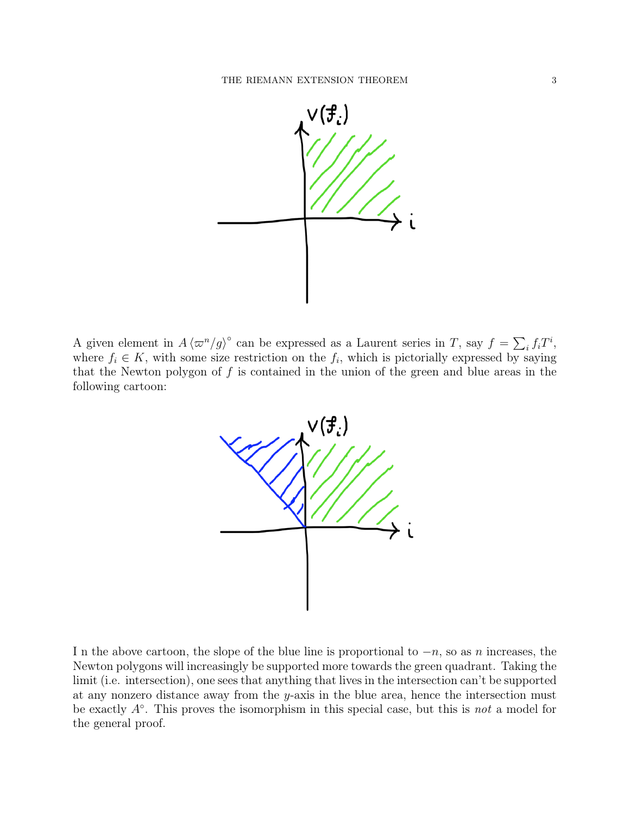

A given element in  $A \langle \varpi^n/g \rangle^{\circ}$  can be expressed as a Laurent series in *T*, say  $f = \sum_i f_i T^i$ , where  $f_i \in K$ , with some size restriction on the  $f_i$ , which is pictorially expressed by saying that the Newton polygon of *f* is contained in the union of the green and blue areas in the following cartoon:



In the above cartoon, the slope of the blue line is proportional to  $-n$ , so as *n* increases, the Newton polygons will increasingly be supported more towards the green quadrant. Taking the limit (i.e. intersection), one sees that anything that lives in the intersection can't be supported at any nonzero distance away from the *y*-axis in the blue area, hence the intersection must be exactly *A*. This proves the isomorphism in this special case, but this is *not* a model for the general proof.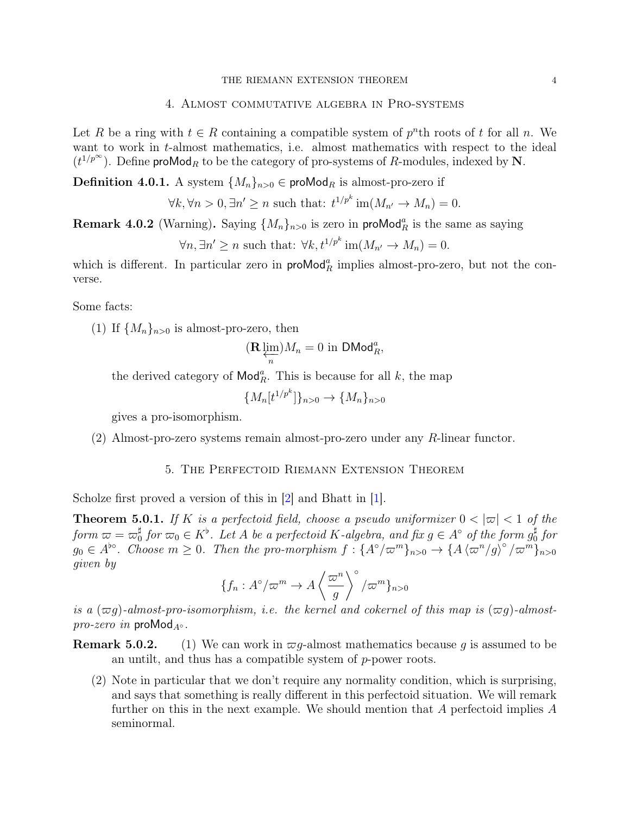#### THE RIEMANN EXTENSION THEOREM 4

# 4. Almost commutative algebra in Pro-systems

Let R be a ring with  $t \in R$  containing a compatible system of  $p^n$ th roots of t for all n. We want to work in *t*-almost mathematics, i.e. almost mathematics with respect to the ideal  $(t^{1/p^{\infty}})$ . Define proMod<sub>R</sub> to be the category of pro-systems of R-modules, indexed by N.

**Definition 4.0.1.** A system  ${M_n}_{n>0} \in \text{produced}_R$  is almost-pro-zero if

$$
\forall k, \forall n > 0, \exists n' \ge n \text{ such that: } t^{1/p^k} \operatorname{im}(M_{n'} \to M_n) = 0.
$$

**Remark 4.0.2** (Warning). Saying  $\{M_n\}_{n>0}$  is zero in proMod<sup>*a*</sup><sub>*R*</sub> is the same as saying

$$
\forall n, \exists n' \ge n \text{ such that: } \forall k, t^{1/p^k} \text{im}(M_{n'} \to M_n) = 0.
$$

which is different. In particular zero in  $\mathsf{prob}\mathsf{Mod}_R^a$  implies almost-pro-zero, but not the converse.

Some facts:

(1) If  ${M_n}_{n>0}$  is almost-pro-zero, then

$$
(\mathbf{R}\varprojlim_n)M_n=0\text{ in }\mathsf{DMod}_R^a,
$$

the derived category of  $\mathsf{Mod}_R^a$ . This is because for all *k*, the map

$$
\{M_n[t^{1/p^k}]\}_{n>0} \to \{M_n\}_{n>0}
$$

gives a pro-isomorphism.

(2) Almost-pro-zero systems remain almost-pro-zero under any *R*-linear functor.

## 5. The Perfectoid Riemann Extension Theorem

Scholze first proved a version of this in [2] and Bhatt in [1].

**Theorem 5.0.1.** If K is a perfectoid field, choose a pseudo uniformizer  $0 < |\varpi| < 1$  of the  $for m \; \varpi = \varpi_0^{\sharp}$  *for*  $\varpi_0 \in K^{\flat}$ . Let *A be a perfectoid K*-algebra, and fix  $g \in A^{\circ}$  *of the form*  $g_0^{\sharp}$  *for*  $g_0 \in A^{bo}$ . Choose  $m \ge 0$ . Then the pro-morphism  $f: {A^o/\varpi^m}_{n>0} \to {A \langle \varpi^n/g \rangle^{\circ}/\varpi^m}_{n>0}$ *given by*

$$
\{f_n: A^\circ/\varpi^m \to A\left\langle \frac{\varpi^n}{g} \right\rangle^\circ/\varpi^m\}_{n>0}
$$

*is a*  $(\varpi q)$ -almost-pro-isomorphism, i.e. the kernel and cokernel of this map is  $(\varpi q)$ -almost*pro-zero in* proMod<sub> $A^{\circ}$ </sub>.

**Remark 5.0.2.** (1) We can work in  $\varpi q$ -almost mathematics because *q* is assumed to be an untilt, and thus has a compatible system of *p*-power roots.

(2) Note in particular that we don't require any normality condition, which is surprising, and says that something is really different in this perfectoid situation. We will remark further on this in the next example. We should mention that *A* perfectoid implies *A* seminormal.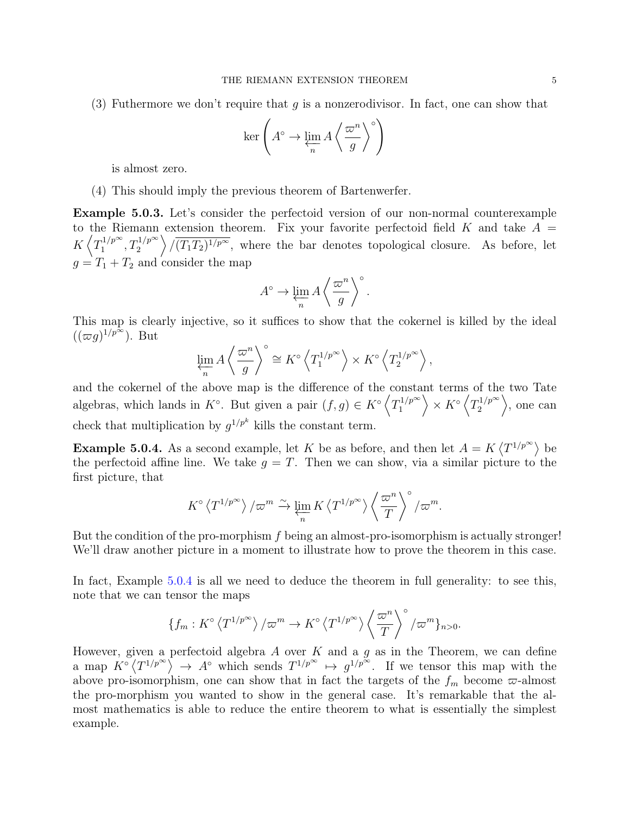(3) Futhermore we don't require that *g* is a nonzerodivisor. In fact, one can show that

$$
\ker\left(A^\circ\to\varprojlim_n A\left\langle\frac{\varpi^n}{g}\right\rangle^\circ\right)
$$

is almost zero.

(4) This should imply the previous theorem of Bartenwerfer.

Example 5.0.3. Let's consider the perfectoid version of our non-normal counterexample to the Riemann extension theorem. Fix your favorite perfectoid field  $K$  and take  $A =$  $K\left\langle T_1^{1/p^\infty}, T_2^{1/p^\infty} \right\rangle$  $\sqrt{(T_1T_2)^{1/p^{\infty}}}$ , where the bar denotes topological closure. As before, let  $q = T_1 + T_2$  and consider the map

$$
A^{\circ} \to \varprojlim_{n} A \left\langle \frac{\varpi^{n}}{g} \right\rangle^{\circ}.
$$

This map is clearly injective, so it suffices to show that the cokernel is killed by the ideal  $((\varpi g)^{1/p^{\infty}})$ . But

$$
\varprojlim_{n} A \left\langle \frac{\varpi^{n}}{g} \right\rangle^{\circ} \cong K^{\circ} \left\langle T_{1}^{1/p^{\infty}} \right\rangle \times K^{\circ} \left\langle T_{2}^{1/p^{\infty}} \right\rangle,
$$

and the cokernel of the above map is the difference of the constant terms of the two Tate algebras, which lands in  $K^{\circ}$ . But given a pair  $(f, g) \in K^{\circ} \left\langle T_1^{1/p^{\infty}} \right\rangle$  $\Big\rangle \times K^{\circ} \left\langle T_{2}^{1/p^{\infty}}\right\rangle$  $\rangle$ , one can check that multiplication by  $g^{1/p^k}$  kills the constant term.

**Example 5.0.4.** As a second example, let *K* be as before, and then let  $A = K \langle T^{1/p^{\infty}} \rangle$  be the perfectoid affine line. We take  $g = T$ . Then we can show, via a similar picture to the first picture, that

$$
K^{\circ}\left\langle T^{1/p^{\infty}}\right\rangle/\varpi^m\xrightarrow{\sim}\varprojlim_{n}K\left\langle T^{1/p^{\infty}}\right\rangle\left\langle \frac{\varpi^n}{T}\right\rangle^{\circ}/\varpi^m.
$$

But the condition of the pro-morphism *f* being an almost-pro-isomorphism is actually stronger! We'll draw another picture in a moment to illustrate how to prove the theorem in this case.

In fact, Example 5.0.4 is all we need to deduce the theorem in full generality: to see this, note that we can tensor the maps

$$
\{f_m: K^{\circ}\langle T^{1/p^{\infty}}\rangle/\varpi^m\to K^{\circ}\langle T^{1/p^{\infty}}\rangle\left\langle \frac{\varpi^n}{T}\right\rangle^{\circ}/\varpi^m\}_{n>0}.
$$

However, given a perfectoid algebra *A* over *K* and a *g* as in the Theorem, we can define a map  $K^{\circ}(T^{1/p^{\infty}}) \rightarrow A^{\circ}$  which sends  $T^{1/p^{\infty}} \rightarrow g^{1/p^{\infty}}$ . If we tensor this map with the above pro-isomorphism, one can show that in fact the targets of the  $f_m$  become  $\varpi$ -almost the pro-morphism you wanted to show in the general case. It's remarkable that the almost mathematics is able to reduce the entire theorem to what is essentially the simplest example.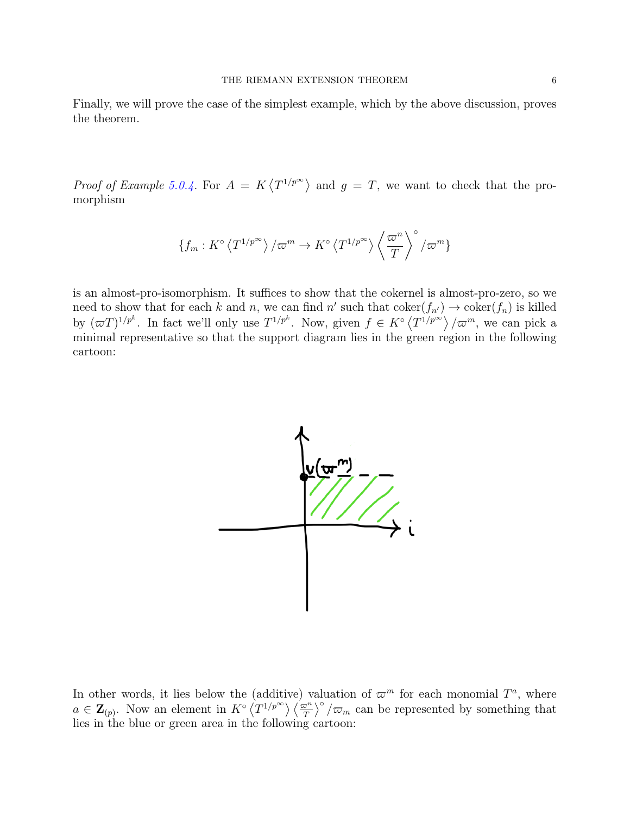Finally, we will prove the case of the simplest example, which by the above discussion, proves the theorem.

*Proof of Example* 5.0.4. For  $A = K \langle T^{1/p^{\infty}} \rangle$  and  $g = T$ , we want to check that the promorphism

$$
\{f_m: K^{\circ}\langle T^{1/p^{\infty}}\rangle/\varpi^m \to K^{\circ}\langle T^{1/p^{\infty}}\rangle\left\langle \frac{\varpi^n}{T}\right\rangle^{\circ}/\varpi^m\}
$$

is an almost-pro-isomorphism. It suffices to show that the cokernel is almost-pro-zero, so we need to show that for each *k* and *n*, we can find *n'* such that  $\text{coker}(f_{n'}) \to \text{coker}(f_n)$  is killed by  $(\varpi T)^{1/p^k}$ . In fact we'll only use  $T^{1/p^k}$ . Now, given  $f \in K^{\circ} \langle T^{1/p^{\infty}} \rangle / \varpi^m$ , we can pick a minimal representative so that the support diagram lies in the green region in the following cartoon:



In other words, it lies below the (additive) valuation of  $\varpi^{m}$  for each monomial  $T^{a}$ , where  $a \in \mathbf{Z}_{(p)}$ . Now an element in  $K^{\circ} \langle T^{1/p^{\infty}} \rangle \langle \frac{\pi^n}{T} \rangle^{\circ} / \pi_m$  can be represented by something that lies in the blue or green area in the following cartoon: